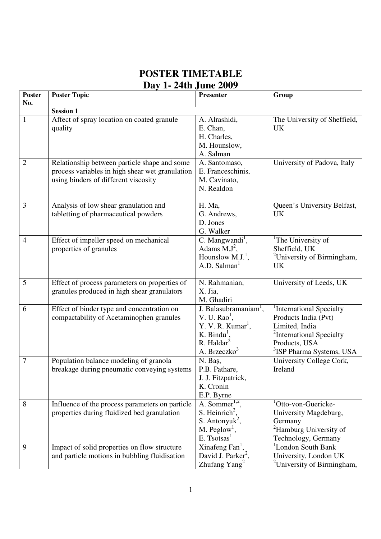## **POSTER TIMETABLE Day 1- 24th June 2009**

| <b>Poster</b>  | <b>Poster Topic</b>                             | <b>Presenter</b>                     | Group                                     |
|----------------|-------------------------------------------------|--------------------------------------|-------------------------------------------|
| No.            |                                                 |                                      |                                           |
|                | <b>Session 1</b>                                |                                      |                                           |
| $\mathbf{1}$   | Affect of spray location on coated granule      | A. Alrashidi,                        | The University of Sheffield,<br><b>UK</b> |
|                | quality                                         | E. Chan,                             |                                           |
|                |                                                 | H. Charles,<br>M. Hounslow,          |                                           |
|                |                                                 | A. Salman                            |                                           |
| 2              | Relationship between particle shape and some    | A. Santomaso,                        | University of Padova, Italy               |
|                | process variables in high shear wet granulation | E. Franceschinis,                    |                                           |
|                | using binders of different viscosity            | M. Cavinato,                         |                                           |
|                |                                                 | N. Realdon                           |                                           |
|                |                                                 |                                      |                                           |
| 3              | Analysis of low shear granulation and           | H. Ma,                               | Queen's University Belfast,               |
|                | tabletting of pharmaceutical powders            | G. Andrews,                          | <b>UK</b>                                 |
|                |                                                 | D. Jones                             |                                           |
|                |                                                 | G. Walker                            |                                           |
| $\overline{4}$ | Effect of impeller speed on mechanical          | C. Mangwandi <sup>1</sup> ,          | <sup>1</sup> The University of            |
|                | properties of granules                          | Adams $M.J^2$ ,                      | Sheffield, UK                             |
|                |                                                 | Hounslow $M.J.1$ ,                   | <sup>2</sup> University of Birmingham,    |
|                |                                                 | A.D. Salman                          | <b>UK</b>                                 |
| 5              | Effect of process parameters on properties of   | N. Rahmanian,                        | University of Leeds, UK                   |
|                | granules produced in high shear granulators     | X. Jia,                              |                                           |
|                |                                                 | M. Ghadiri                           |                                           |
| 6              | Effect of binder type and concentration on      | J. Balasubramaniam <sup>1</sup> ,    | <sup>1</sup> International Specialty      |
|                | compactability of Acetaminophen granules        | $V. U. Rao1$ ,                       | Products India (Pvt)                      |
|                |                                                 | Y. V. R. Kumar <sup>1</sup> ,        | Limited, India                            |
|                |                                                 | K. Bindu <sup>1</sup> ,              | <sup>2</sup> International Specialty      |
|                |                                                 | $R.$ Haldar <sup>2</sup>             | Products, USA                             |
|                |                                                 | A. Brzeczko <sup>3</sup>             | <sup>3</sup> ISP Pharma Systems, USA      |
| 7              | Population balance modeling of granola          | N. Baş,<br>P.B. Pathare,             | University College Cork,<br>Ireland       |
|                | breakage during pneumatic conveying systems     | J. J. Fitzpatrick,                   |                                           |
|                |                                                 | K. Cronin                            |                                           |
|                |                                                 | E.P. Byrne                           |                                           |
| 8              | Influence of the process parameters on particle | A. Sommer $1,2$ ,                    | <sup>1</sup> Otto-von-Guericke-           |
|                | properties during fluidized bed granulation     | S. Heinrich <sup>2</sup> ,           | University Magdeburg,                     |
|                |                                                 | S. Antonyuk <sup>2</sup> ,           | Germany                                   |
|                |                                                 | $M.$ Peglow <sup>1</sup> ,           | <sup>2</sup> Hamburg University of        |
|                |                                                 | E. T <sub>s</sub> otsas <sup>1</sup> | Technology, Germany                       |
| 9              | Impact of solid properties on flow structure    | Xinafeng Fan <sup>1</sup> ,          | <sup>1</sup> London South Bank            |
|                | and particle motions in bubbling fluidisation   | David J. Parker <sup>2</sup> ,       | University, London UK                     |
|                |                                                 | Zhufang $Yang^2$                     | <sup>2</sup> University of Birmingham,    |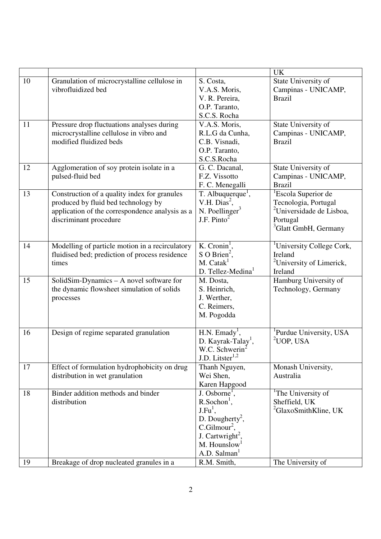|          |                                                                                                                                                                  |                                                                                                                                                                                                                 | <b>UK</b>                                                                                                                                       |
|----------|------------------------------------------------------------------------------------------------------------------------------------------------------------------|-----------------------------------------------------------------------------------------------------------------------------------------------------------------------------------------------------------------|-------------------------------------------------------------------------------------------------------------------------------------------------|
| 10       | Granulation of microcrystalline cellulose in<br>vibrofluidized bed                                                                                               | S. Costa,<br>V.A.S. Moris,<br>V. R. Pereira,<br>O.P. Taranto,<br>S.C.S. Rocha                                                                                                                                   | State University of<br>Campinas - UNICAMP,<br><b>Brazil</b>                                                                                     |
| 11       | Pressure drop fluctuations analyses during<br>microcrystalline cellulose in vibro and<br>modified fluidized beds                                                 | V.A.S. Moris,<br>R.L.G da Cunha,<br>C.B. Visnadi,<br>O.P. Taranto,<br>S.C.S.Rocha                                                                                                                               | State University of<br>Campinas - UNICAMP,<br><b>Brazil</b>                                                                                     |
| 12       | Agglomeration of soy protein isolate in a<br>pulsed-fluid bed                                                                                                    | G. C. Dacanal,<br>F.Z. Vissotto<br>F. C. Menegalli                                                                                                                                                              | State University of<br>Campinas - UNICAMP,<br><b>Brazil</b>                                                                                     |
| 13       | Construction of a quality index for granules<br>produced by fluid bed technology by<br>application of the correspondence analysis as a<br>discriminant procedure | T. Albuquerque <sup>1</sup> ,<br>V.H. $Dias2$ ,<br>N. Poellinger $3$<br>J.F. Pinto $2$                                                                                                                          | <sup>1</sup> Escola Superior de<br>Tecnologia, Portugal<br><sup>2</sup> Universidade de Lisboa,<br>Portugal<br><sup>3</sup> Glatt GmbH, Germany |
| 14       | Modelling of particle motion in a recirculatory<br>fluidised bed; prediction of process residence<br>times                                                       | $\overline{K}$ . Cronin <sup>1</sup> ,<br>S O Brien <sup>2</sup> ,<br>M. Catak <sup>1</sup><br>D. Tellez-Medina                                                                                                 | <sup>1</sup> University College Cork,<br>Ireland<br><sup>2</sup> University of Limerick,<br>Ireland                                             |
| 15       | SolidSim-Dynamics - A novel software for<br>the dynamic flowsheet simulation of solids<br>processes                                                              | M. Dosta,<br>S. Heinrich,<br>J. Werther,<br>C. Reimers,<br>M. Pogodda                                                                                                                                           | Hamburg University of<br>Technology, Germany                                                                                                    |
| 16       | Design of regime separated granulation                                                                                                                           | $H.N.$ Emady <sup>1</sup> ,<br>D. Kayrak-Talay <sup>1</sup> ,<br>W.C. Schwerin <sup>2</sup><br>$J.D.$ Litster <sup>1,2</sup>                                                                                    | <sup>1</sup> Purdue University, USA<br>$2$ UOP, USA                                                                                             |
| 17       | Effect of formulation hydrophobicity on drug<br>distribution in wet granulation                                                                                  | Thanh Nguyen,<br>Wei Shen,<br>Karen Hapgood                                                                                                                                                                     | Monash University,<br>Australia                                                                                                                 |
| 18<br>19 | Binder addition methods and binder<br>distribution<br>Breakage of drop nucleated granules in a                                                                   | J. Osborne <sup>1</sup> ,<br>$R.Sochon1$ ,<br>$J.Fu1$ ,<br>D. Dougherty <sup>2</sup> ,<br>$C.Gilmour2$ ,<br>J. Cartwright <sup>2</sup> ,<br>M. Hounslow <sup>1</sup><br>A.D. Salman <sup>1</sup><br>R.M. Smith, | <sup>1</sup> The University of<br>Sheffield, UK<br><sup>2</sup> GlaxoSmithKline, UK<br>The University of                                        |
|          |                                                                                                                                                                  |                                                                                                                                                                                                                 |                                                                                                                                                 |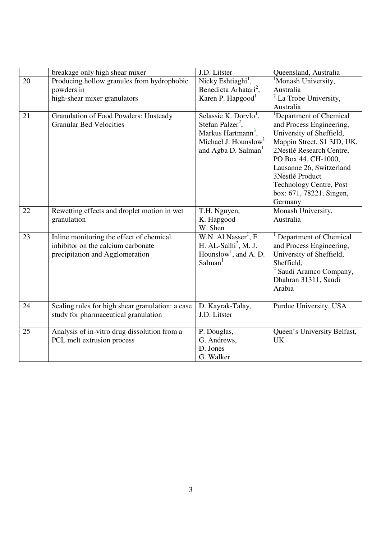|    | breakage only high shear mixer                                                                                    | J.D. Litster                                                                                                                                                               | Queensland, Australia                                                                                                                                                                                                                                                                         |
|----|-------------------------------------------------------------------------------------------------------------------|----------------------------------------------------------------------------------------------------------------------------------------------------------------------------|-----------------------------------------------------------------------------------------------------------------------------------------------------------------------------------------------------------------------------------------------------------------------------------------------|
| 20 | Producing hollow granules from hydrophobic<br>powders in                                                          | Nicky Eshtiaghi <sup>1</sup> ,<br>Benedicta Arhatari <sup>2</sup> ,                                                                                                        | <sup>1</sup> Monash University,<br>Australia                                                                                                                                                                                                                                                  |
|    | high-shear mixer granulators                                                                                      | Karen P. Hapgood <sup>1</sup>                                                                                                                                              | $2$ La Trobe University,<br>Australia                                                                                                                                                                                                                                                         |
| 21 | <b>Granulation of Food Powders: Unsteady</b><br><b>Granular Bed Velocities</b>                                    | Selassie K. Dorvlo <sup>1</sup> ,<br>Stefan Palzer <sup>2</sup> ,<br>Markus Hartmann <sup>3</sup> ,<br>Michael J. Hounslow <sup>1</sup><br>and Agba D. Salman <sup>1</sup> | <sup>1</sup> Department of Chemical<br>and Process Engineering,<br>University of Sheffield,<br>Mappin Street, S1 3JD, UK,<br>2Nestlé Research Centre,<br>PO Box 44, CH-1000,<br>Lausanne 26, Switzerland<br>3Nestlé Product<br>Technology Centre, Post<br>box: 671, 78221, Singen,<br>Germany |
| 22 | Rewetting effects and droplet motion in wet<br>granulation                                                        | T.H. Nguyen,<br>K. Hapgood<br>W. Shen                                                                                                                                      | Monash University,<br>Australia                                                                                                                                                                                                                                                               |
| 23 | Inline monitoring the effect of chemical<br>inhibitor on the calcium carbonate<br>precipitation and Agglomeration | W.N. Al Nasser <sup>1</sup> , F.<br>H. AL-Salhi <sup>2</sup> , M. J.<br>Hounslow <sup>1</sup> , and A. D.<br>Salman <sup>1</sup>                                           | Department of Chemical<br>and Process Engineering,<br>University of Sheffield,<br>Sheffield,<br><sup>2</sup> Saudi Aramco Company,<br>Dhahran 31311, Saudi<br>Arabia                                                                                                                          |
| 24 | Scaling rules for high shear granulation: a case<br>study for pharmaceutical granulation                          | D. Kayrak-Talay,<br>J.D. Litster                                                                                                                                           | Purdue University, USA                                                                                                                                                                                                                                                                        |
| 25 | Analysis of in-vitro drug dissolution from a<br>PCL melt extrusion process                                        | P. Douglas,<br>G. Andrews,<br>D. Jones<br>G. Walker                                                                                                                        | Queen's University Belfast,<br>UK.                                                                                                                                                                                                                                                            |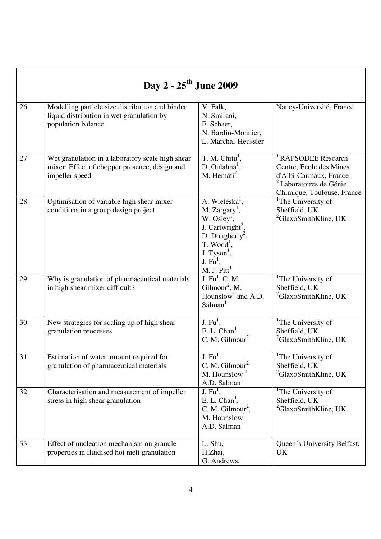| Day 2 - 25 <sup>th</sup> June 2009 |                                                                                                                     |                                                                                                                                                                                                                      |                                                                                                                                                         |  |
|------------------------------------|---------------------------------------------------------------------------------------------------------------------|----------------------------------------------------------------------------------------------------------------------------------------------------------------------------------------------------------------------|---------------------------------------------------------------------------------------------------------------------------------------------------------|--|
| 26                                 | Modelling particle size distribution and binder<br>liquid distribution in wet granulation by<br>population balance  | V. Falk,<br>N. Smirani,<br>E. Schaer,<br>N. Bardin-Monnier,<br>L. Marchal-Heussler                                                                                                                                   | Nancy-Université, France                                                                                                                                |  |
| 27                                 | Wet granulation in a laboratory scale high shear<br>mixer: Effect of chopper presence, design and<br>impeller speed | T. M. Chitu <sup>1</sup> ,<br>D. Oulahna <sup>1</sup> ,<br>M. Hemati <sup>2</sup>                                                                                                                                    | <sup>1</sup> RAPSODEE Research<br>Centre, Ecole des Mines<br>d'Albi-Carmaux, France<br><sup>2</sup> Laboratoires de Génie<br>Chimique, Toulouse, France |  |
| 28                                 | Optimisation of variable high shear mixer<br>conditions in a group design project                                   | A. Wieteska <sup>1</sup> ,<br>$M.$ Zargary <sup>1</sup> ,<br>W. Osley <sup>1</sup> ,<br>J. Cartwright <sup>2</sup> ,<br>D. Dougherty <sup>2</sup> ,<br>$T. Wood1$ ,<br>$J. Tyson1$ ,<br>J. $Fu1$ ,<br>M. J. $Pitt^1$ | <sup>1</sup> The University of<br>Sheffield, UK<br><sup>2</sup> GlaxoSmithKline, UK                                                                     |  |
| 29                                 | Why is granulation of pharmaceutical materials<br>in high shear mixer difficult?                                    | $\overline{J. Fu^1, C. M.}$<br>Gilmour <sup>2</sup> , M.<br>Hounslow <sup>1</sup> and A.D.<br>Salman <sup>1</sup>                                                                                                    | <sup>1</sup> The University of<br>Sheffield, UK<br><sup>2</sup> GlaxoSmithKline, UK                                                                     |  |
| 30                                 | New strategies for scaling up of high shear<br>granulation processes                                                | J. $Fu1$ ,<br>E. L. Chan <sup>1</sup><br>C. M. Gilmour <sup>2</sup>                                                                                                                                                  | <sup>1</sup> The University of<br>Sheffield, UK<br><sup>2</sup> GlaxoSmithKline, UK                                                                     |  |
| 31                                 | Estimation of water amount required for<br>granulation of pharmaceutical materials                                  | $J. \overline{Fu}$<br>C. M. Gilmour <sup>2</sup><br>M. Hounslow $1$<br>A.D. Salman <sup>1</sup>                                                                                                                      | <sup>1</sup> The University of<br>Sheffield, UK<br><sup>2</sup> GlaxoSmithKline, UK                                                                     |  |
| 32                                 | Characterisation and measurement of impeller<br>stress in high shear granulation                                    | J. $Fu1$ ,<br>E. L. $Chan1$ ,<br>C. M. Gilmour <sup>2</sup> ,<br>M. Hounslow <sup>1</sup><br>A.D. Salman <sup>1</sup>                                                                                                | <sup>1</sup> The University of<br>Sheffield, UK<br>${}^{2}$ GlaxoSmithKline, UK                                                                         |  |
| 33                                 | Effect of nucleation mechanism on granule<br>properties in fluidised hot melt granulation                           | L. Shu,<br>H.Zhai,<br>G. Andrews,                                                                                                                                                                                    | Queen's University Belfast,<br><b>UK</b>                                                                                                                |  |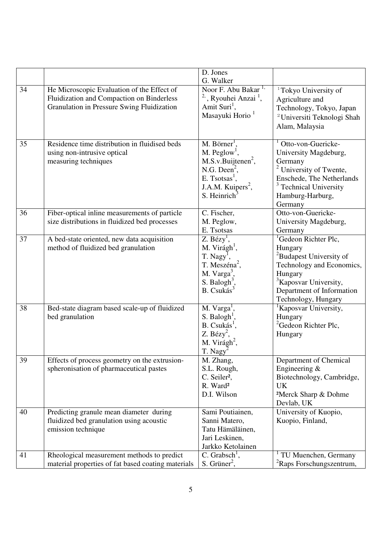|    |                                                                                                                                       | D. Jones                                                                                                                                                                                               |                                                                                                                                                                                                                     |
|----|---------------------------------------------------------------------------------------------------------------------------------------|--------------------------------------------------------------------------------------------------------------------------------------------------------------------------------------------------------|---------------------------------------------------------------------------------------------------------------------------------------------------------------------------------------------------------------------|
|    |                                                                                                                                       | G. Walker                                                                                                                                                                                              |                                                                                                                                                                                                                     |
| 34 | He Microscopic Evaluation of the Effect of<br>Fluidization and Compaction on Binderless<br>Granulation in Pressure Swing Fluidization | Noor F. Abu Bakar <sup>1,</sup><br><sup>2,</sup> , Ryouhei Anzai <sup>1</sup> ,<br>Amit Suri <sup>1</sup> ,<br>Masayuki Horio <sup>1</sup>                                                             | <sup>1</sup> Tokyo University of<br>Agriculture and<br>Technology, Tokyo, Japan<br><sup>2</sup> Universiti Teknologi Shah<br>Alam, Malaysia                                                                         |
| 35 | Residence time distribution in fluidised beds<br>using non-intrusive optical<br>measuring techniques                                  | $M.$ Börner <sup>1</sup> ,<br>$M.$ Peglow <sup>1</sup> ,<br>$M.S.v.Buijtenen2$ ,<br>N.G. Deen <sup>2</sup> ,<br>E. Tsotsas <sup>1</sup> ,<br>J.A.M. Kuipers <sup>2</sup> ,<br>S. Heinrich <sup>3</sup> | $1$ Otto-von-Guericke-<br>University Magdeburg,<br>Germany<br>$2$ University of Twente,<br>Enschede, The Netherlands<br>$3$ Technical University<br>Hamburg-Harburg,<br>Germany                                     |
| 36 | Fiber-optical inline measurements of particle<br>size distributions in fluidized bed processes                                        | C. Fischer,<br>M. Peglow,<br>E. Tsotsas                                                                                                                                                                | Otto-von-Guericke-<br>University Magdeburg,<br>Germany                                                                                                                                                              |
| 37 | A bed-state oriented, new data acquisition<br>method of fluidized bed granulation                                                     | Z. Bézy <sup>T</sup> ,<br>M. Virágh <sup>1</sup> ,<br>T. Nagy <sup>1</sup> ,<br>T. Meszéna <sup>2</sup> ,<br>M. $Varga^3$ ,<br>S. Balogh <sup>3</sup> ,<br>$B.$ Csukás $3$                             | <sup>1</sup> Gedeon Richter Plc,<br>Hungary<br><sup>2</sup> Budapest University of<br>Technology and Economics,<br>Hungary<br><sup>3</sup> Kaposvar University,<br>Department of Information<br>Technology, Hungary |
| 38 | Bed-state diagram based scale-up of fluidized<br>bed granulation                                                                      | M. Varga <sup>1</sup> ,<br>$S.$ Balogh <sup>1</sup> ,<br>$B.$ Csukás <sup>1</sup> ,<br>$Z. Bézy2$ ,<br>M. Virágh <sup>2</sup> ,<br>T. Nagy <sup>2</sup>                                                | <sup>1</sup> Kaposvar University,<br>Hungary<br><sup>2</sup> Gedeon Richter Plc,<br>Hungary                                                                                                                         |
| 39 | Effects of process geometry on the extrusion-<br>spheronisation of pharmaceutical pastes                                              | M. Zhang,<br>S.L. Rough,<br>C. Seiler <sup>2</sup> ,<br>R. Ward <sup>2</sup><br>D.I. Wilson                                                                                                            | Department of Chemical<br>Engineering $&$<br>Biotechnology, Cambridge,<br><b>UK</b><br><sup>2</sup> Merck Sharp & Dohme<br>Devlab, UK                                                                               |
| 40 | Predicting granule mean diameter during<br>fluidized bed granulation using acoustic<br>emission technique                             | Sami Poutiainen,<br>Sanni Matero,<br>Tatu Hämäläinen,<br>Jari Leskinen,<br>Jarkko Ketolainen                                                                                                           | University of Kuopio,<br>Kuopio, Finland,                                                                                                                                                                           |
| 41 | Rheological measurement methods to predict<br>material properties of fat based coating materials                                      | $C.$ Grabsch <sup>1</sup> ,<br>$S.$ Grüner <sup>2</sup> ,                                                                                                                                              | TU Muenchen, Germany<br>${}^{2}$ Raps Forschungszentrum,                                                                                                                                                            |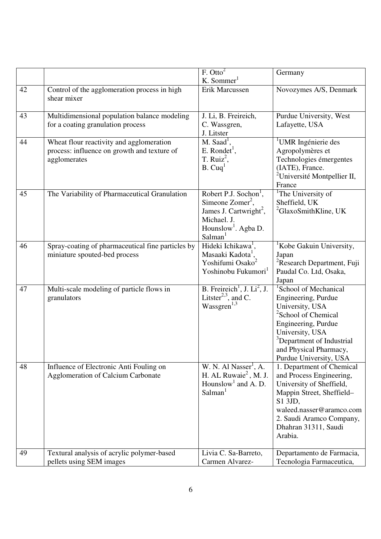|    |                                                                                                         | F. Otto <sup>2</sup><br>K. Sommer $1$                                                                                                                                  | Germany                                                                                                                                                                                                                                               |
|----|---------------------------------------------------------------------------------------------------------|------------------------------------------------------------------------------------------------------------------------------------------------------------------------|-------------------------------------------------------------------------------------------------------------------------------------------------------------------------------------------------------------------------------------------------------|
| 42 | Control of the agglomeration process in high<br>shear mixer                                             | Erik Marcussen                                                                                                                                                         | Novozymes A/S, Denmark                                                                                                                                                                                                                                |
| 43 | Multidimensional population balance modeling<br>for a coating granulation process                       | J. Li, B. Freireich,<br>C. Wassgren,<br>J. Litster                                                                                                                     | Purdue University, West<br>Lafayette, USA                                                                                                                                                                                                             |
| 44 | Wheat flour reactivity and agglomeration<br>process: influence on growth and texture of<br>agglomerates | $M.$ Saad <sup>1</sup> ,<br>$E.$ Rondet <sup>1</sup> ,<br>T. Ruiz <sup>2</sup> ,<br>B. Cuq <sup>1</sup>                                                                | <sup>1</sup> UMR Ingénierie des<br>Agropolymères et<br>Technologies émergentes<br>(IATE), France.<br><sup>2</sup> Université Montpellier II,<br>France                                                                                                |
| 45 | The Variability of Pharmaceutical Granulation                                                           | Robert P.J. Sochon <sup>1</sup> ,<br>Simeone $Zomer2$ ,<br>James J. Cartwright <sup>2</sup> ,<br>Michael. J.<br>Hounslow <sup>1</sup> . Agba D.<br>Salman <sup>1</sup> | <sup>1</sup> The University of<br>Sheffield, UK<br><sup>2</sup> GlaxoSmithKline, UK                                                                                                                                                                   |
| 46 | Spray-coating of pharmaceutical fine particles by<br>miniature spouted-bed process                      | Hideki Ichikawa <sup>1</sup> ,<br>Masaaki Kadota <sup>1</sup> ,<br>Yoshifumi Osako <sup>2</sup><br>Yoshinobu Fukumori <sup>1</sup>                                     | <sup>1</sup> Kobe Gakuin University,<br>Japan<br><sup>2</sup> Research Department, Fuji<br>Paudal Co. Ltd, Osaka,<br>Japan                                                                                                                            |
| 47 | Multi-scale modeling of particle flows in<br>granulators                                                | B. Freireich <sup>1</sup> , J. $Li^2$ , J.<br>Litster <sup>2,3</sup> , and C.<br>Wassgren <sup>1,3</sup>                                                               | <sup>1</sup> School of Mechanical<br>Engineering, Purdue<br>University, USA<br><sup>2</sup> School of Chemical<br>Engineering, Purdue<br>University, USA<br><sup>3</sup> Department of Industrial<br>and Physical Pharmacy,<br>Purdue University, USA |
| 48 | Influence of Electronic Anti Fouling on<br><b>Agglomeration of Calcium Carbonate</b>                    | W. N. Al Nasser <sup>1</sup> , A.<br>H. AL Ruwaie <sup>2</sup> , M. J.<br>Hounslow <sup>1</sup> and A. D.<br>Salman <sup>1</sup>                                       | 1. Department of Chemical<br>and Process Engineering,<br>University of Sheffield,<br>Mappin Street, Sheffield-<br>S1 3JD,<br>waleed.nasser@aramco.com<br>2. Saudi Aramco Company,<br>Dhahran 31311, Saudi<br>Arabia.                                  |
| 49 | Textural analysis of acrylic polymer-based<br>pellets using SEM images                                  | Livia C. Sa-Barreto,<br>Carmen Alvarez-                                                                                                                                | Departamento de Farmacia,<br>Tecnologia Farmaceutica,                                                                                                                                                                                                 |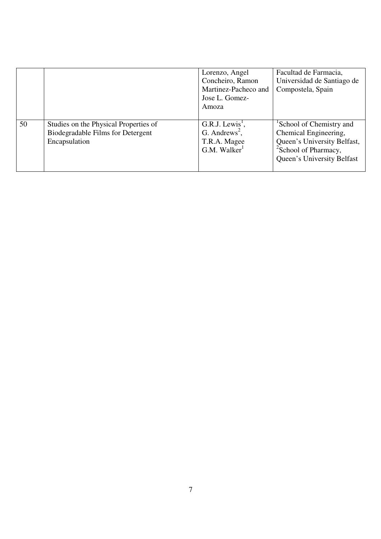|    |                                                                                             | Lorenzo, Angel<br>Concheiro, Ramon<br>Martinez-Pacheco and<br>Jose L. Gomez-<br>Amoza                | Facultad de Farmacia,<br>Universidad de Santiago de<br>Compostela, Spain                                                                                       |
|----|---------------------------------------------------------------------------------------------|------------------------------------------------------------------------------------------------------|----------------------------------------------------------------------------------------------------------------------------------------------------------------|
| 50 | Studies on the Physical Properties of<br>Biodegradable Films for Detergent<br>Encapsulation | G.R.J. Lewis <sup>1</sup> ,<br>G. Andrews <sup>2</sup> ,<br>T.R.A. Magee<br>G.M. Walker <sup>1</sup> | <sup>1</sup> School of Chemistry and<br>Chemical Engineering,<br>Queen's University Belfast,<br><sup>2</sup> School of Pharmacy,<br>Queen's University Belfast |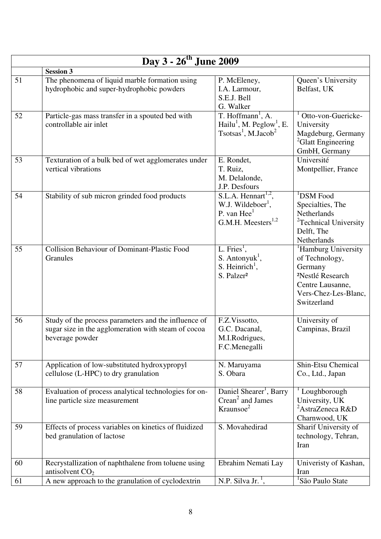| Day 3 - 26 <sup>th</sup> June 2009 |                                                                                                                                |                                                                                                                                  |                                                                                                                                                         |  |  |
|------------------------------------|--------------------------------------------------------------------------------------------------------------------------------|----------------------------------------------------------------------------------------------------------------------------------|---------------------------------------------------------------------------------------------------------------------------------------------------------|--|--|
|                                    | <b>Session 3</b>                                                                                                               |                                                                                                                                  |                                                                                                                                                         |  |  |
| 51                                 | The phenomena of liquid marble formation using<br>hydrophobic and super-hydrophobic powders                                    | P. McEleney,<br>I.A. Larmour,<br>S.E.J. Bell<br>G. Walker                                                                        | Queen's University<br>Belfast, UK                                                                                                                       |  |  |
| 52                                 | Particle-gas mass transfer in a spouted bed with<br>controllable air inlet                                                     | T. Hoffmann <sup>1</sup> , A.<br>Hailu <sup>1</sup> , M. Peglow <sup>1</sup> , E.<br>Tsotsas <sup>1</sup> , M.Jacob <sup>2</sup> | Otto-von-Guericke-<br>University<br>Magdeburg, Germany<br><sup>2</sup> Glatt Engineering<br>GmbH, Germany                                               |  |  |
| 53                                 | Texturation of a bulk bed of wet agglomerates under<br>vertical vibrations                                                     | E. Rondet,<br>T. Ruiz,<br>M. Delalonde,<br>J.P. Desfours                                                                         | Université<br>Montpellier, France                                                                                                                       |  |  |
| 54                                 | Stability of sub micron grinded food products                                                                                  | S.L.A. Hennart <sup>1,2</sup> ,<br>W.J. Wildeboer <sup>1</sup> ,<br>P. van $Hee1$<br>G.M.H. Meesters <sup>1,2</sup>              | <sup>1</sup> DSM Food<br>Specialties, The<br>Netherlands<br><sup>2</sup> Technical University<br>Delft, The<br>Netherlands                              |  |  |
| 55                                 | <b>Collision Behaviour of Dominant-Plastic Food</b><br>Granules                                                                | L. Fries <sup>1</sup> ,<br>S. Antonyuk <sup>1</sup> ,<br>S. Heinrich <sup>1</sup> ,<br>S. Palzer <sup>2</sup>                    | <sup>1</sup> Hamburg University<br>of Technology,<br>Germany<br><sup>2</sup> Nestlé Research<br>Centre Lausanne,<br>Vers-Chez-Les-Blanc,<br>Switzerland |  |  |
| 56                                 | Study of the process parameters and the influence of<br>sugar size in the agglomeration with steam of cocoa<br>beverage powder | F.Z.Vissotto,<br>G.C. Dacanal,<br>M.I.Rodrigues,<br>F.C.Menegalli                                                                | University of<br>Campinas, Brazil                                                                                                                       |  |  |
| 57                                 | Application of low-substituted hydroxypropyl<br>cellulose (L-HPC) to dry granulation                                           | N. Maruyama<br>S. Obara                                                                                                          | Shin-Etsu Chemical<br>Co., Ltd., Japan                                                                                                                  |  |  |
| 58                                 | Evaluation of process analytical technologies for on-<br>line particle size measurement                                        | Daniel Shearer <sup>1</sup> , Barry<br>Crean <sup>2</sup> and James<br>Kraunsoe <sup>2</sup>                                     | Loughborough<br>University, UK<br><sup>2</sup> AstraZeneca R&D<br>Charnwood, UK                                                                         |  |  |
| 59                                 | Effects of process variables on kinetics of fluidized<br>bed granulation of lactose                                            | S. Movahedirad                                                                                                                   | Sharif University of<br>technology, Tehran,<br>Iran                                                                                                     |  |  |
| 60                                 | Recrystallization of naphthalene from toluene using<br>antisolvent $CO2$                                                       | Ebrahim Nemati Lay                                                                                                               | Univeristy of Kashan,<br>Iran                                                                                                                           |  |  |
| 61                                 | A new approach to the granulation of cyclodextrin                                                                              | N.P. Silva Jr. <sup>1</sup> ,                                                                                                    | <sup>1</sup> São Paulo State                                                                                                                            |  |  |